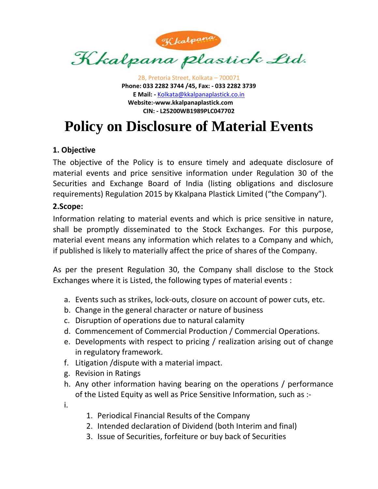

2B, Pretoria Street, Kolkata – 700071 **Phone: 033 2282 3744 /45, Fax: ‐ 033 2282 3739 E Mail: ‐** Kolkata@kkalpanaplastick.co.in **Website:‐www.kkalpanaplastick.com CIN: ‐ L25200WB1989PLC047702**

# **Policy on Disclosure of Material Events**

#### **1. Objective**

 The objective of the Policy is to ensure timely and adequate disclosure of material events and price sensitive information under Regulation 30 of the Securities and Exchange Board of India (listing obligations and disclosure requirements) Regulation 2015 by Kkalpana Plastick Limited ("the Company").

#### **2.Scope:**

 Information relating to material events and which is price sensitive in nature, shall be promptly disseminated to the Stock Exchanges. For this purpose, material event means any information which relates to a Company and which, if published is likely to materially affect the price of shares of the Company.

As per the present Regulation 30, the Company shall disclose to the Stock Exchanges where it is Listed, the following types of material events :

- a. Events such as strikes, lock‐outs, closure on account of power cuts, etc.
- b. Change in the general character or nature of business
- c. Disruption of operations due to natural calamity
- d. Commencement of Commercial Production / Commercial Operations.
- e. Developments with respect to pricing / realization arising out of change in regulatory framework.
- f. Litigation /dispute with a material impact.
- g. Revision in Ratings
- h. Any other information having bearing on the operations / performance of the Listed Equity as well as Price Sensitive Information, such as :‐

i.

- 1. Periodical Financial Results of the Company
- 2. Intended declaration of Dividend (both Interim and final)
- 3. Issue of Securities, forfeiture or buy back of Securities